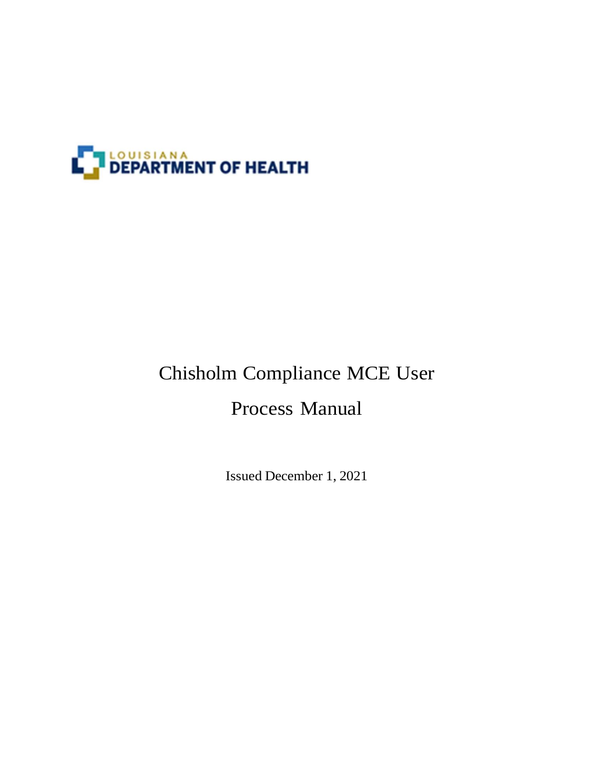

# Chisholm Compliance MCE User

## Process Manual

Issued December 1, 2021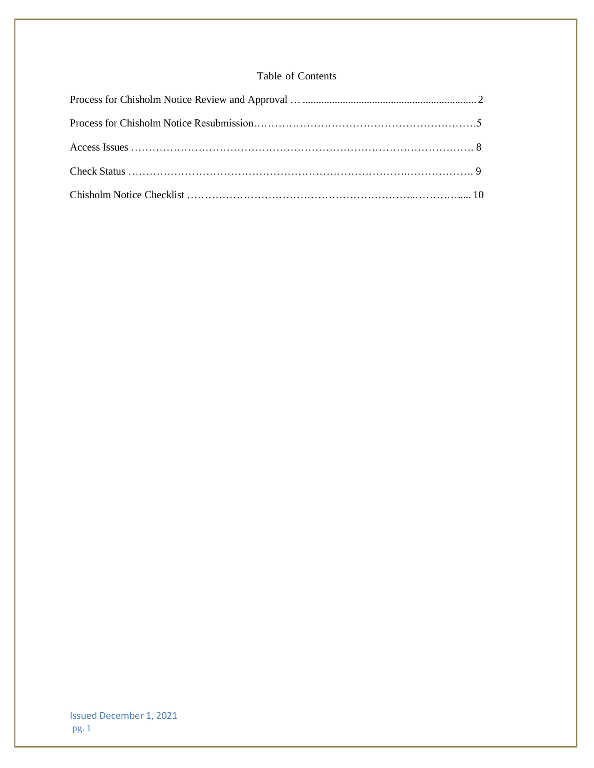## Table of Contents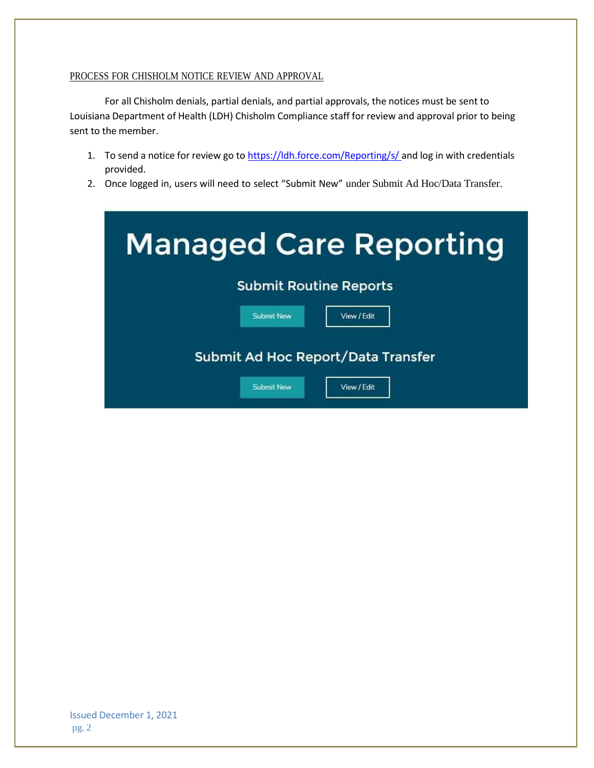### PROCESS FOR CHISHOLM NOTICE REVIEW AND APPROVAL

For all Chisholm denials, partial denials, and partial approvals, the notices must be sent to Louisiana Department of Health (LDH) Chisholm Compliance staff for review and approval prior to being sent to the member.

- 1. To send a notice for review go to https://ldh.force.com/Reporting/s/ and log in with credentials provided.
- 2. Once logged in, users will need to select "Submit New" under Submit Ad Hoc/Data Transfer.

| <b>Managed Care Reporting</b>      |  |  |  |  |  |
|------------------------------------|--|--|--|--|--|
| <b>Submit Routine Reports</b>      |  |  |  |  |  |
| <b>Submit New</b><br>View / Edit   |  |  |  |  |  |
| Submit Ad Hoc Report/Data Transfer |  |  |  |  |  |
| <b>Submit New</b><br>View / Edit   |  |  |  |  |  |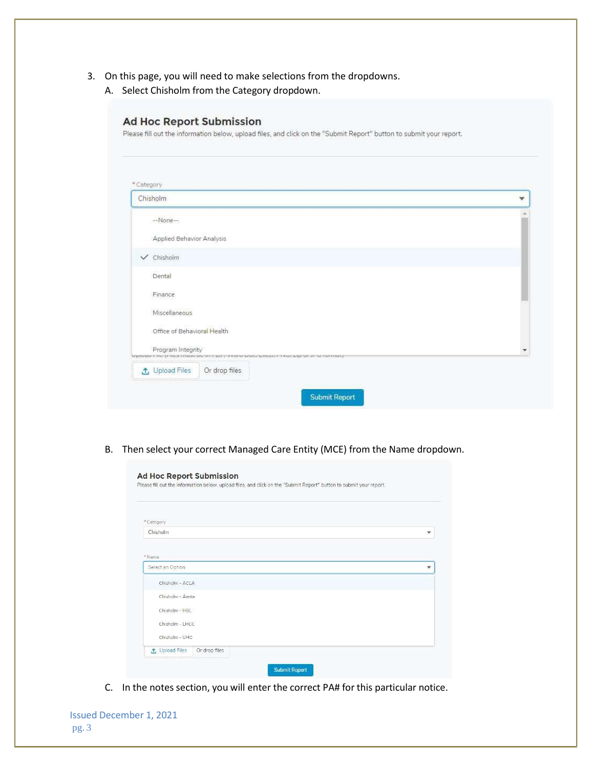- 3. On this page, you will need to make selections from the dropdowns.
	- A. Select Chisholm from the Category dropdown.

#### **Ad Hoc Report Submission**

Please fill out the information below, upload files, and click on the "Submit Report" button to submit your report.

| Chisholm                    |                                                                                                | ▼ |
|-----------------------------|------------------------------------------------------------------------------------------------|---|
| --None-                     |                                                                                                |   |
| Applied Behavior Analysis   |                                                                                                |   |
| $\checkmark$ Chisholm       |                                                                                                |   |
| Dental                      |                                                                                                |   |
| Finance                     |                                                                                                |   |
| Miscellaneous               |                                                                                                |   |
| Office of Behavioral Health |                                                                                                |   |
| Program Integrity           | placement and the contract extremely the contract the contract of the contract of the contract |   |
| 1 Upload Files              | Or drop files                                                                                  |   |

B. Then select your correct Managed Care Entity (MCE) from the Name dropdown.

|                                 | Please fill out the information below, upload files, and click on the "Submit Report" button to submit your report. |
|---------------------------------|---------------------------------------------------------------------------------------------------------------------|
|                                 |                                                                                                                     |
| *Category<br>Chisholm           | $\mathbf{v}$                                                                                                        |
|                                 |                                                                                                                     |
|                                 |                                                                                                                     |
| * Name                          |                                                                                                                     |
| Select an Option                | v                                                                                                                   |
| Chisholm - ACLA                 |                                                                                                                     |
| Chisholm - Aenta                |                                                                                                                     |
| Chisholm - HBL                  |                                                                                                                     |
| Chisholm - LHCC                 |                                                                                                                     |
|                                 |                                                                                                                     |
| Chisholm - UHC                  |                                                                                                                     |
| Or drop files<br>1 Upload Files |                                                                                                                     |

C. In the notes section, you will enter the correct PA# for this particular notice.

|      | <b>Issued December 1, 2021</b> |  |
|------|--------------------------------|--|
| pg.3 |                                |  |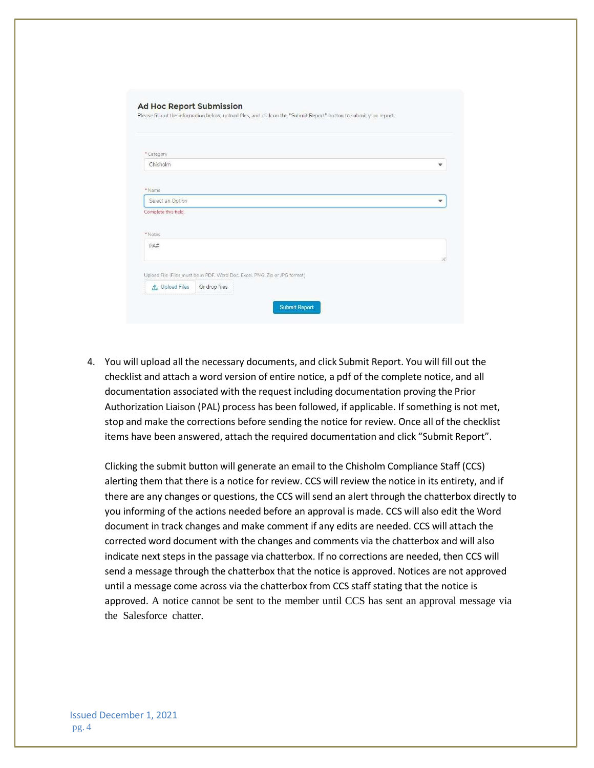| * Category            |               |                                                                             |   |
|-----------------------|---------------|-----------------------------------------------------------------------------|---|
| Chisholm              |               |                                                                             |   |
|                       |               |                                                                             |   |
| *Name                 |               |                                                                             |   |
| Select an Option      |               |                                                                             | v |
| Complete this field.  |               |                                                                             |   |
|                       |               |                                                                             |   |
| *Notes                |               |                                                                             |   |
| PA#                   |               |                                                                             |   |
|                       |               |                                                                             |   |
|                       |               |                                                                             |   |
| <b>①</b> Upload Files |               | Upload File (Files must be in PDF, Word Doc, Excel, PNG, Zip or JPG format) |   |
|                       | Or drop files |                                                                             |   |

4. You will upload all the necessary documents, and click Submit Report. You will fill out the checklist and attach a word version of entire notice, a pdf of the complete notice, and all documentation associated with the request including documentation proving the Prior Authorization Liaison (PAL) process has been followed, if applicable. If something is not met, stop and make the corrections before sending the notice for review. Once all of the checklist items have been answered, attach the required documentation and click "Submit Report".

Clicking the submit button will generate an email to the Chisholm Compliance Staff (CCS) alerting them that there is a notice for review. CCS will review the notice in its entirety, and if there are any changes or questions, the CCS will send an alert through the chatterbox directly to you informing of the actions needed before an approval is made. CCS will also edit the Word document in track changes and make comment if any edits are needed. CCS will attach the corrected word document with the changes and comments via the chatterbox and will also indicate next steps in the passage via chatterbox. If no corrections are needed, then CCS will send a message through the chatterbox that the notice is approved. Notices are not approved until a message come across via the chatterbox from CCS staff stating that the notice is approved. A notice cannot be sent to the member until CCS has sent an approval message via the Salesforce chatter.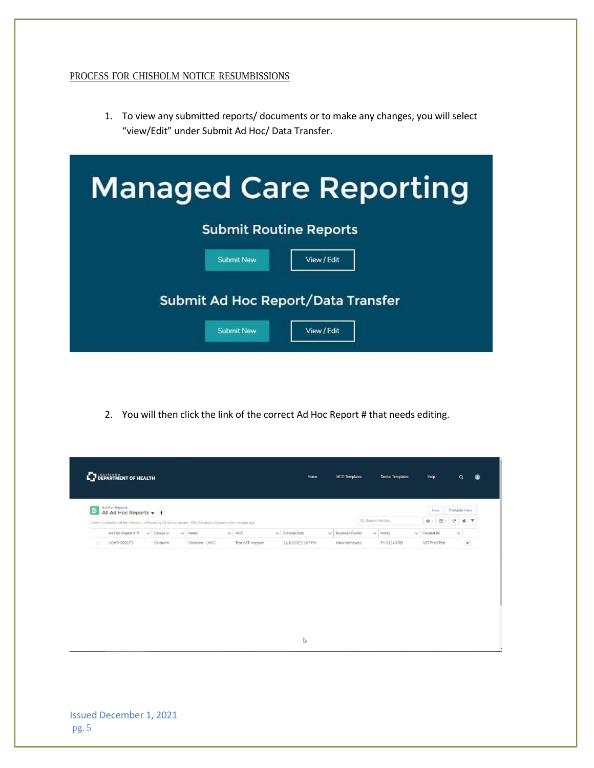## PROCESS FOR CHISHOLM NOTICE RESUMBISSIONS

1. To view any submitted reports/ documents or to make any changes, you will select "view/Edit" under Submit Ad Hoc/ Data Transfer.

| <b>Managed Care Reporting</b>      |  |  |  |  |  |  |
|------------------------------------|--|--|--|--|--|--|
| <b>Submit Routine Reports</b>      |  |  |  |  |  |  |
| <b>Submit New</b><br>View / Edit   |  |  |  |  |  |  |
| Submit Ad Hoc Report/Data Transfer |  |  |  |  |  |  |
| <b>Submit New</b><br>View / Edit   |  |  |  |  |  |  |

2. You will then click the link of the correct Ad Hoc Report # that needs editing.

|    |                   | All Ad Hoc Reports $\blacktriangledown$   + |                                                                                                                                |                  |                     |                       | Q. Search this list |              | New<br>$\mathcal{C}^{\prime}$<br>$\overline{m}$ -<br>章。 | Printable View<br><b>C Y</b> |
|----|-------------------|---------------------------------------------|--------------------------------------------------------------------------------------------------------------------------------|------------------|---------------------|-----------------------|---------------------|--------------|---------------------------------------------------------|------------------------------|
|    | Ad Hoc Report # 1 | $\vee$ Category                             | I item . Sorted by Ad Hoc Report # . Elitered by All ad hoc reports - File Attached . Updated a few seconds ago<br>$\vee$ Name | $\vee$ MCE       | $\vee$ Created Date | $\vee$ Business Owner |                     | $\vee$ Notes | $\vee$ Created By                                       | $\checkmark$                 |
| 11 | ADHR-000171       | Chisholm                                    | Chisholm - LHCC                                                                                                                | Test AST Account | 11/10/2021 1:07 PM  | Mark Mathewes         |                     | PA 31240789  | AST Prod Test                                           | $\pmb{\mathrm{v}}$           |
|    |                   |                                             |                                                                                                                                |                  |                     |                       |                     |              |                                                         |                              |
|    |                   |                                             |                                                                                                                                |                  |                     |                       |                     |              |                                                         |                              |
|    |                   |                                             |                                                                                                                                |                  | $\mathbb{S}$        |                       |                     |              |                                                         |                              |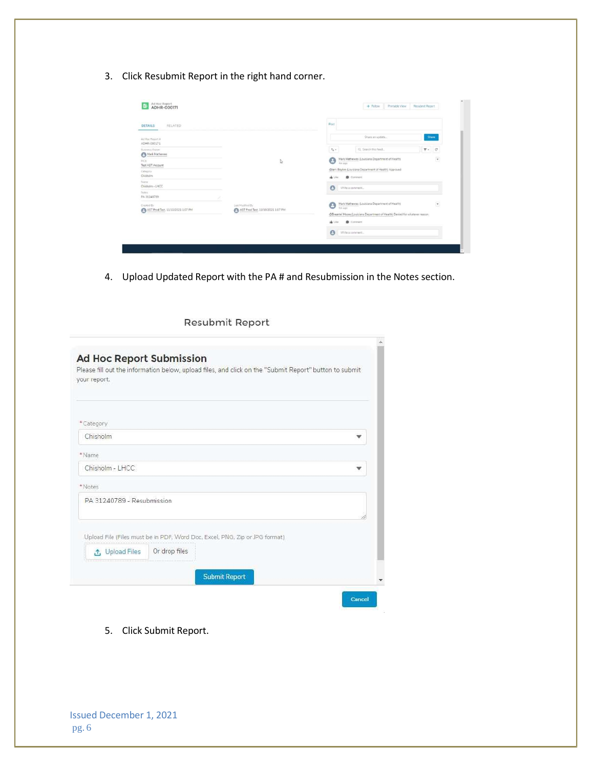3. Click Resubmit Report in the right hand corner.

| RELATED<br><b>DETAILS</b>                       |                                                       | Post                                                                                                                                                                                  |
|-------------------------------------------------|-------------------------------------------------------|---------------------------------------------------------------------------------------------------------------------------------------------------------------------------------------|
| Ad Hoc Report #<br>ADHR-000171                  |                                                       | Share an update<br>Share                                                                                                                                                              |
| Business Owner<br>Mark Mathewas                 |                                                       | Q. Search this feed<br>$T$ $C$<br>$7.1 -$                                                                                                                                             |
| <b>MCE</b><br>Test AST Account                  | I.                                                    | -<br>٥<br>Mark Mathewes (Louisiana Department of Health)<br>$\overline{\phantom{a}}$<br>Am ego                                                                                        |
| Citiepory<br>Chisholm                           |                                                       | @lerri Boykin (Louisiana Department of Health) Approved<br>Comment<br>de Like                                                                                                         |
| Neme<br>Chisholm - LHCC                         |                                                       | $\theta$<br>Write a comment.                                                                                                                                                          |
| Notes<br>PA 31240789                            |                                                       |                                                                                                                                                                                       |
| Crested By<br>AST Prod Test, 11/10/2021 1:07 PM | Last Modified By<br>AST Prod Test. 11/10/2021 1:07 PM | $\overline{\phantom{a}}$<br>Mark Mathewes (Louisiana Department of Health)<br>Θ<br>@Breante' Moore (Louisiana Department of Health) Denied for whatever reason.<br>Comment<br>nh Like |
|                                                 |                                                       | $\Theta$<br>Write a conument                                                                                                                                                          |

4. Upload Updated Report with the PA # and Resubmission in the Notes section.

## Resubmit Report

| your report.               |                                                                             |  |
|----------------------------|-----------------------------------------------------------------------------|--|
| * Category                 |                                                                             |  |
| Chisholm                   |                                                                             |  |
| * Name                     |                                                                             |  |
| Chisholm - LHCC            |                                                                             |  |
| * Notes                    |                                                                             |  |
| PA 31240789 - Resubmission |                                                                             |  |
|                            | Upload File (Files must be in PDF, Word Doc, Excel, PNG, Zip or JPG format) |  |
| t, Upload Files            | Or drop files                                                               |  |
|                            | <b>Submit Report</b>                                                        |  |

5. Click Submit Report.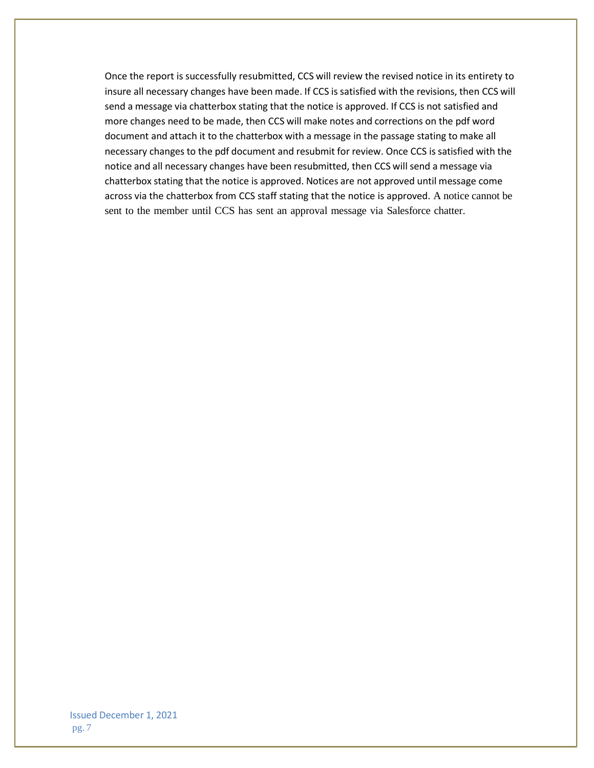Once the report is successfully resubmitted, CCS will review the revised notice in its entirety to insure all necessary changes have been made. If CCS is satisfied with the revisions, then CCS will send a message via chatterbox stating that the notice is approved. If CCS is not satisfied and more changes need to be made, then CCS will make notes and corrections on the pdf word document and attach it to the chatterbox with a message in the passage stating to make all necessary changes to the pdf document and resubmit for review. Once CCS is satisfied with the notice and all necessary changes have been resubmitted, then CCS will send a message via chatterbox stating that the notice is approved. Notices are not approved until message come across via the chatterbox from CCS staff stating that the notice is approved. A notice cannot be sent to the member until CCS has sent an approval message via Salesforce chatter.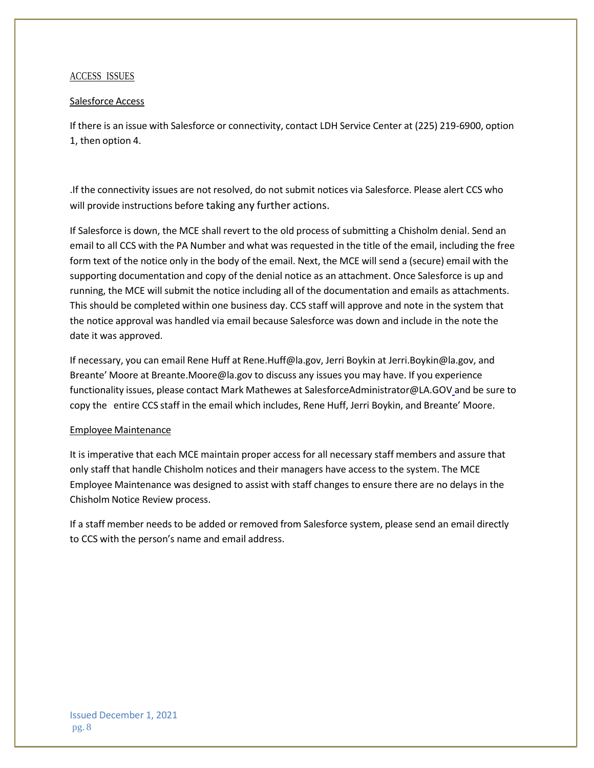#### ACCESS ISSUES

#### Salesforce Access

If there is an issue with Salesforce or connectivity, contact LDH Service Center at (225) 219-6900, option 1, then option 4.

.If the connectivity issues are not resolved, do not submit notices via Salesforce. Please alert CCS who will provide instructions before taking any further actions.

If Salesforce is down, the MCE shall revert to the old process of submitting a Chisholm denial. Send an email to all CCS with the PA Number and what was requested in the title of the email, including the free form text of the notice only in the body of the email. Next, the MCE will send a (secure) email with the supporting documentation and copy of the denial notice as an attachment. Once Salesforce is up and running, the MCE will submit the notice including all of the documentation and emails as attachments. This should be completed within one business day. CCS staff will approve and note in the system that the notice approval was handled via email because Salesforce was down and include in the note the date it was approved.

If necessary, you can email Rene Huff at [Rene.Huff@la.gov,](mailto:Rene.Huff@la.gov) Jerri Boykin a[t Jerri.Boykin@la.gov,](mailto:Jerri.Boykin@la.gov) and Breante' Moore at [Breante.Moore@la.gov](mailto:Breante.Moore@la.gov) to discuss any issues you may have. If you experience functionality issues, please contact Mark Mathewes at [SalesforceAdministrator@LA.GOV](mailto:SalesforceAdministrator@LA.GOV) and be sure to copy the entire CCS staff in the email which includes, Rene Huff, Jerri Boykin, and Breante' Moore.

#### Employee Maintenance

It is imperative that each MCE maintain proper access for all necessary staff members and assure that only staff that handle Chisholm notices and their managers have access to the system. The MCE Employee Maintenance was designed to assist with staff changes to ensure there are no delays in the Chisholm Notice Review process.

If a staff member needs to be added or removed from Salesforce system, please send an email directly to CCS with the person's name and email address.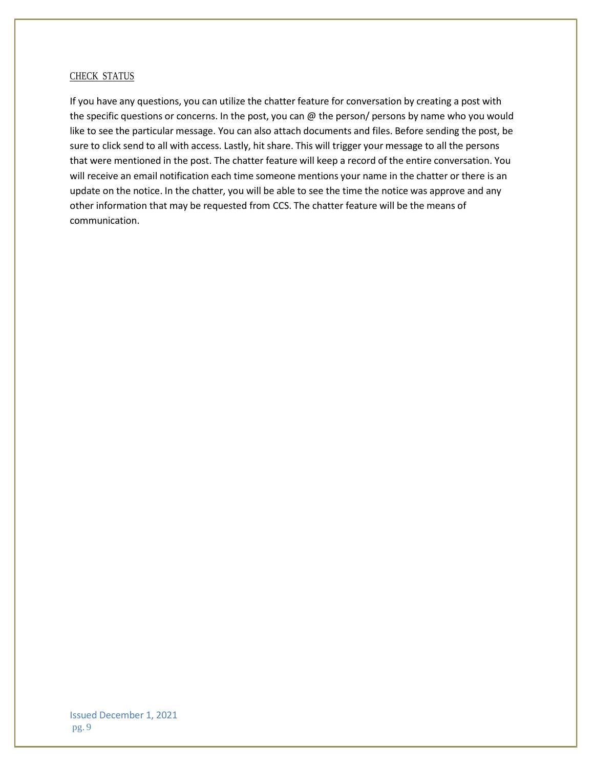#### CHECK STATUS

If you have any questions, you can utilize the chatter feature for conversation by creating a post with the specific questions or concerns. In the post, you can @ the person/ persons by name who you would like to see the particular message. You can also attach documents and files. Before sending the post, be sure to click send to all with access. Lastly, hit share. This will trigger your message to all the persons that were mentioned in the post. The chatter feature will keep a record of the entire conversation. You will receive an email notification each time someone mentions your name in the chatter or there is an update on the notice. In the chatter, you will be able to see the time the notice was approve and any other information that may be requested from CCS. The chatter feature will be the means of communication.